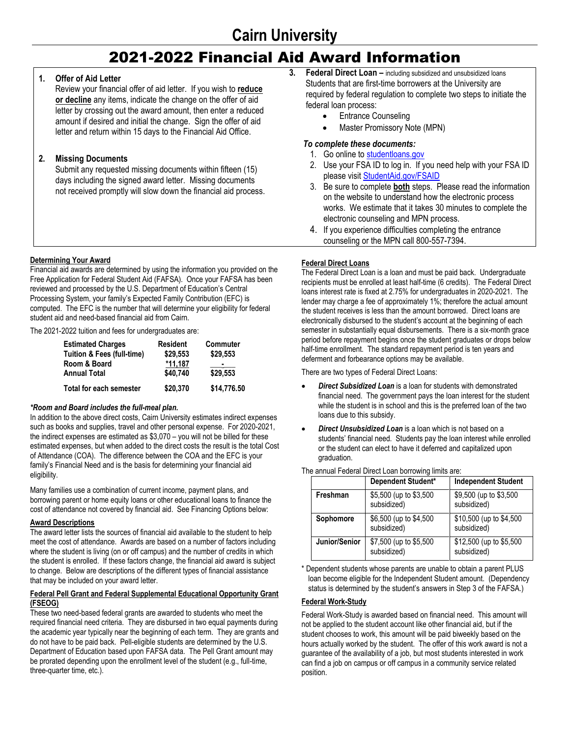# 2021-2022 Financial Aid Award Information

## **1. Offer of Aid Letter**

Review your financial offer of aid letter. If you wish to **reduce or decline** any items, indicate the change on the offer of aid letter by crossing out the award amount, then enter a reduced amount if desired and initial the change. Sign the offer of aid letter and return within 15 days to the Financial Aid Office.

## **2. Missing Documents**

Submit any requested missing documents within fifteen (15) days including the signed award letter. Missing documents not received promptly will slow down the financial aid process.

## **Determining Your Award**

Financial aid awards are determined by using the information you provided on the Free Application for Federal Student Aid (FAFSA). Once your FAFSA has been reviewed and processed by the U.S. Department of Education's Central Processing System, your family's Expected Family Contribution (EFC) is computed. The EFC is the number that will determine your eligibility for federal student aid and need-based financial aid from Cairn.

The 2021-2022 tuition and fees for undergraduates are:

| <b>Estimated Charges</b>              | <b>Resident</b> | Commuter    |
|---------------------------------------|-----------------|-------------|
| <b>Tuition &amp; Fees (full-time)</b> | \$29,553        | \$29,553    |
| Room & Board                          | $*11.187$       |             |
| <b>Annual Total</b>                   | \$40,740        | \$29,553    |
| Total for each semester               | \$20,370        | \$14,776.50 |

## *\*Room and Board includes the full-meal plan.*

In addition to the above direct costs, Cairn University estimates indirect expenses such as books and supplies, travel and other personal expense. For 2020-2021, the indirect expenses are estimated as \$3,070 – you will not be billed for these estimated expenses, but when added to the direct costs the result is the total Cost of Attendance (COA). The difference between the COA and the EFC is your family's Financial Need and is the basis for determining your financial aid eligibility.

Many families use a combination of current income, payment plans, and borrowing parent or home equity loans or other educational loans to finance the cost of attendance not covered by financial aid. See Financing Options below:

## **Award Descriptions**

The award letter lists the sources of financial aid available to the student to help meet the cost of attendance. Awards are based on a number of factors including where the student is living (on or off campus) and the number of credits in which the student is enrolled. If these factors change, the financial aid award is subject to change. Below are descriptions of the different types of financial assistance that may be included on your award letter.

#### **Federal Pell Grant and Federal Supplemental Educational Opportunity Grant (FSEOG)**

These two need-based federal grants are awarded to students who meet the required financial need criteria. They are disbursed in two equal payments during the academic year typically near the beginning of each term. They are grants and do not have to be paid back. Pell-eligible students are determined by the U.S. Department of Education based upon FAFSA data. The Pell Grant amount may be prorated depending upon the enrollment level of the student (e.g., full-time, three-quarter time, etc.).

- **3. Federal Direct Loan –** including subsidized and unsubsidized loans Students that are first-time borrowers at the University are required by federal regulation to complete two steps to initiate the federal loan process:
	- Entrance Counseling
	- Master Promissory Note (MPN)

## *To complete these documents:*

- 1. Go online to [studentloans.gov](http://www.studentloans.gov/)
- 2. Use your FSA ID to log in. If you need help with your FSA ID please visi[t StudentAid.gov/F](http://www.studentaid.gov/fsaid)SAID
- 3. Be sure to complete **both** steps. Please read the information on the website to understand how the electronic process works. We estimate that it takes 30 minutes to complete the electronic counseling and MPN process.
- 4. If you experience difficulties completing the entrance counseling or the MPN call 800-557-7394.

## **Federal Direct Loans**

The Federal Direct Loan is a loan and must be paid back. Undergraduate recipients must be enrolled at least half-time (6 credits). The Federal Direct loans interest rate is fixed at 2.75% for undergraduates in 2020-2021. The lender may charge a fee of approximately 1%; therefore the actual amount the student receives is less than the amount borrowed. Direct loans are electronically disbursed to the student's account at the beginning of each semester in substantially equal disbursements. There is a six-month grace period before repayment begins once the student graduates or drops below half-time enrollment. The standard repayment period is ten years and deferment and forbearance options may be available.

There are two types of Federal Direct Loans:

- *Direct Subsidized Loan* is a loan for students with demonstrated financial need. The government pays the loan interest for the student while the student is in school and this is the preferred loan of the two loans due to this subsidy.
- *Direct Unsubsidized Loan* is a loan which is not based on a students' financial need. Students pay the loan interest while enrolled or the student can elect to have it deferred and capitalized upon graduation.

The annual Federal Direct Loan borrowing limits are:

|               | Dependent Student*                    | <b>Independent Student</b>              |
|---------------|---------------------------------------|-----------------------------------------|
| Freshman      | \$5,500 (up to \$3,500<br>subsidized) | \$9,500 (up to \$3,500)<br>subsidized)  |
| Sophomore     | \$6,500 (up to \$4,500<br>subsidized) | \$10,500 (up to \$4,500<br>subsidized)  |
| Junior/Senior | \$7,500 (up to \$5,500<br>subsidized) | \$12,500 (up to \$5,500)<br>subsidized) |

Dependent students whose parents are unable to obtain a parent PLUS loan become eligible for the Independent Student amount. (Dependency status is determined by the student's answers in Step 3 of the FAFSA.)

## **Federal Work-Study**

Federal Work-Study is awarded based on financial need. This amount will not be applied to the student account like other financial aid, but if the student chooses to work, this amount will be paid biweekly based on the hours actually worked by the student. The offer of this work award is not a guarantee of the availability of a job, but most students interested in work can find a job on campus or off campus in a community service related position.